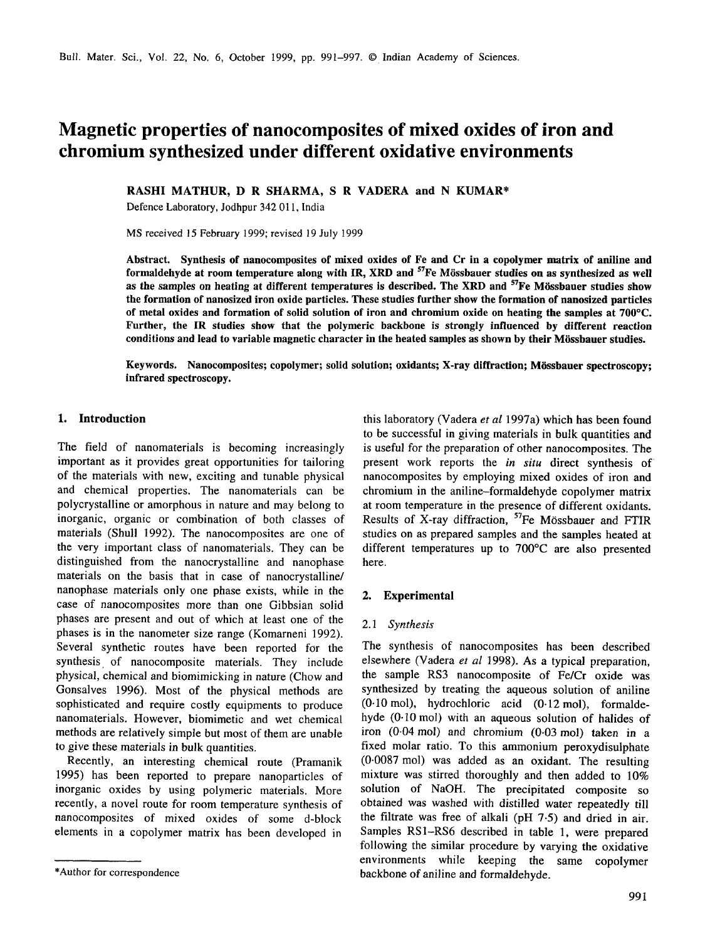# **Magnetic properties of nanocomposites of mixed oxides of iron and chromium synthesized under different oxidative environments**

**RASHI MATHUR, D R SHARMA, S R VADERA and N KUMAR\*** 

Defence Laboratory, Jodhpur 342 011, India

MS received 15 February 1999; revised 19 July 1999

**Abstract. Synthesis of nanocomposites of mixed oxides of Fe and Cr in a copolymer matrix of aniline and**  formaldehyde at room temperature along with IR, XRD and <sup>57</sup>Fe Mössbauer studies on as synthesized as well **as the samples on heating at different temperatures is described. The XRD and 57Fe M6ssbauer studies show the formation of nanosized iron oxide particles. These studies further show the formation of nanosized particles of metal oxides and formation of solid solution of iron and chromium oxide on heating the samples at 700°C. Further, the IR studies show that the polymeric backbone is strongly influenced by different reaction**  conditions and lead to variable magnetic character in the heated samples as shown by their Mössbauer studies.

Keywords. Nanocomposites; copolymer; solid solution; oxidants; X-ray diffraction; Mössbauer spectroscopy; **infrared spectroscopy.** 

## 1. **Introduction**

The field of nanomaterials is becoming increasingly important as it provides great opportunities for tailoring of the materials with new, exciting and tunable physical and chemical properties. The nanomaterials can be polycrystalline or amorphous in nature and may belong to inorganic, organic or combination of both classes of materials (Shull 1992). The nanocomposites are one of the very important class of nanomaterials. They can be distinguished from the nanocrystalline and nanophase materials on the basis that in case of nanocrystalline/ nanophase materials only one phase exists, while in the case of nanocomposites more than one Gibbsian solid phases are present and out of which at least one of the phases is in the nanometer size range (Komarneni 1992). Several synthetic routes have been reported for the synthesis of nanocomposite materials. They include physical, chemical and biomimicking in nature (Chow and Gonsalves 1996). Most of the physical methods are sophisticated and require costly equipments to produce nanomaterials. However, biomimetic and wet chemical methods are relatively simple but most of them are unable to give these materials in bulk quantities.

Recently, an interesting chemical route (Pramanik 1995) has been reported to prepare nanoparticles of inorganic oxides by using polymeric materials. More recently, a novel route for room temperature synthesis of nanocomposites of mixed oxides of some d-block elements in a copolymer matrix has been developed in

this laboratory (Vadera *et al* 1997a) which has been found to be successful in giving materials in bulk quantities and is useful for the preparation of other nanocomposites. The present work reports the *in situ* direct synthesis of nanocomposites by employing mixed oxides of iron and chromium in the aniline-formaldehyde copolymer matrix at room temperature in the presence of different oxidants. Results of X-ray diffraction, <sup>57</sup>Fe Mössbauer and FTIR studies on as prepared samples and the samples heated at different temperatures up to 700°C are also presented here.

## **2. Experimental**

#### *2.1 Synthesis*

The synthesis of nanocomposites has been described elsewhere (Vadera *et al* 1998). As a typical preparation, the sample RS3 nanocomposite of Fe/Cr oxide was synthesized by treating the aqueous solution of aniline  $(0.10 \text{ mol})$ , hydrochloric acid  $(0.12 \text{ mol})$ , formaldehyde (0.10mol) with an aqueous solution of halides of iron (0.04 mol) and chromium (0.03 mol) taken in a fixed molar ratio. To this ammonium peroxydisulphate (0.0087 mol) was added as an oxidant. The resulting mixture was stirred thoroughly and then added to 10% solution of NaOH. The precipitated composite so obtained was washed with distilled water repeatedly till the filtrate was free of alkali (pH 7.5) and dried in air. Samples RS1-RS6 described in table 1, were prepared following the similar procedure by varying the oxidative environments while keeping the same copolymer backbone of aniline and formaldehyde.

<sup>\*</sup>Author for correspondence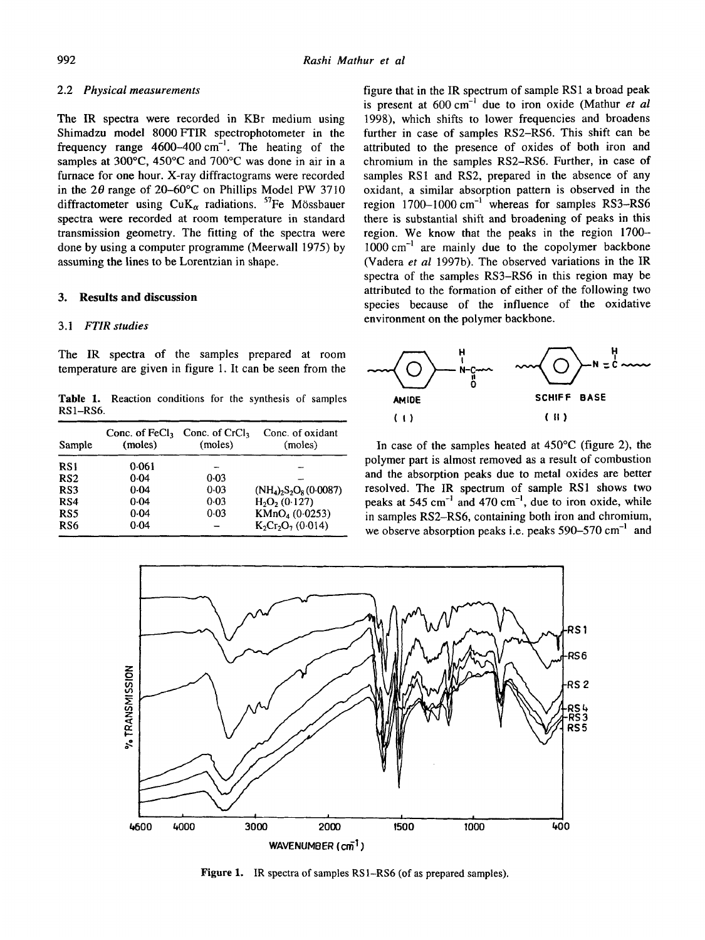# 2.2 *Physical measurements*

The IR spectra were recorded in KBr medium using Shimadzu model 8000 FTIR spectrophotometer in the frequency range  $4600-400$  cm<sup>-1</sup>. The heating of the samples at 300°C, 450°C and 700°C was done in air in a furnace for one hour. X-ray diffractograms were recorded in the  $2\theta$  range of  $20-60^{\circ}$ C on Phillips Model PW 3710 diffractometer using  $CuK_\alpha$  radiations. <sup>57</sup>Fe Mössbauer spectra were recorded at room temperature in standard transmission geometry. The fitting of the spectra were done by using a computer programme (Meerwall 1975) by assuming the lines to be Lorentzian in shape.

## **3. Results and discussion**

# *3.1 FTIR studies*

The IR spectra of the samples prepared at room temperature are given in figure 1. It can be seen from the

Table 1, Reaction conditions for the synthesis of samples RS 1-RS6.

| Sample          | Conc. of $FeCl3$<br>(moles) | Conc. of $CrCl3$<br>(moles) | Conc. of oxidant<br>(moles)                                  |
|-----------------|-----------------------------|-----------------------------|--------------------------------------------------------------|
| RS1             | 0.061                       |                             |                                                              |
| RS <sub>2</sub> | 0.04                        | 0.03                        |                                                              |
| RS3             | $0-04$                      | 0.03                        | $(NH_4)$ <sub>2</sub> S <sub>2</sub> O <sub>8</sub> (0.0087) |
| RS4             | 0.04                        | 0.03                        | $H_2O_2(0.127)$                                              |
| RS <sub>5</sub> | 0.04                        | 0.03                        | KMnO <sub>4</sub> (0.0253)                                   |
| RS6             | 0.04                        |                             | $K_2Cr_2O_7(0.014)$                                          |

figure that in the IR spectrum of sample RS1 a broad peak is present at  $600 \text{ cm}^{-1}$  due to iron oxide (Mathur *et al* 1998), which shifts to lower frequencies and broadens further in case of samples RS2-RS6. This shift can be attributed to the presence of oxides of both iron and chromium in the samples RS2-RS6. Further, in case of samples RS1 and RS2, prepared in the absence of any oxidant, a similar absorption pattern is observed in the region  $1700-1000$  cm<sup>-1</sup> whereas for samples RS3-RS6 there is substantial shift and broadening of peaks in this region. We know that the peaks in the region 1700--  $1000 \text{ cm}^{-1}$  are mainly due to the copolymer backbone (Vadera *et al* 1997b). The observed variations in the IR spectra of the samples RS3-RS6 in this region may be attributed to the formation of either of the following two species because of the influence of the oxidative environment on the polymer backbone.



In case of the samples heated at  $450^{\circ}$ C (figure 2), the polymer part is almost removed as a result of combustion and the absorption peaks due to metal oxides are better resolved. The IR spectrum of sample RS1 shows two peaks at 545 cm<sup>-1</sup> and 470 cm<sup>-1</sup>, due to iron oxide, while in samples RS2-RS6, containing both iron and chromium, we observe absorption peaks i.e. peaks  $590-570$  cm<sup>-1</sup> and



Figure 1. IR spectra of samples RS1-RS6 (of as prepared samples).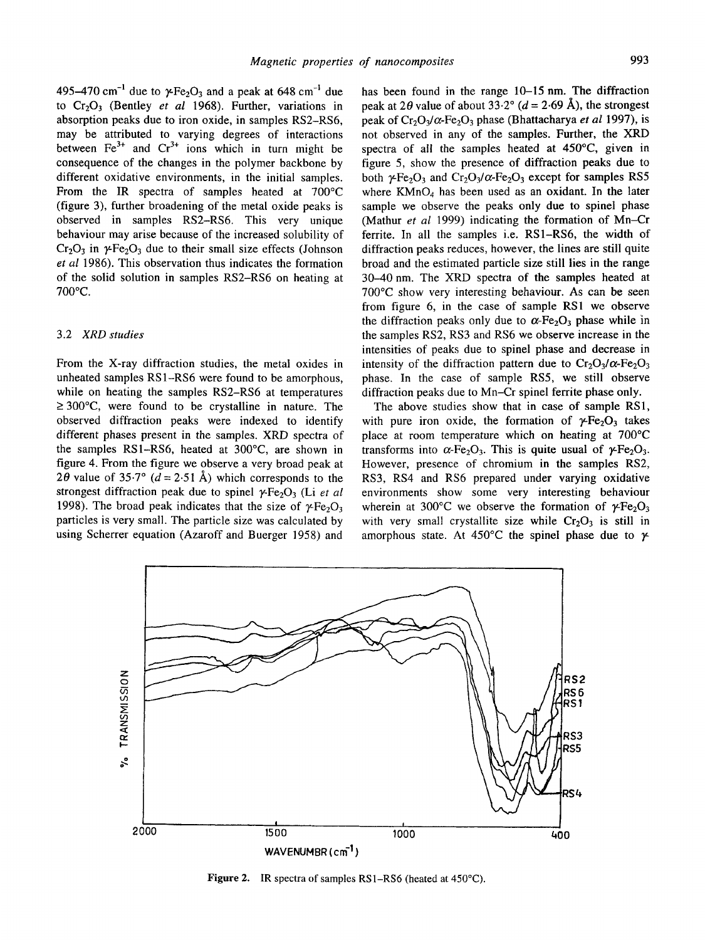495-470 cm<sup>-1</sup> due to  $\gamma$ -Fe<sub>2</sub>O<sub>3</sub> and a peak at 648 cm<sup>-1</sup> due to  $Cr_2O_3$  (Bentley *et al* 1968). Further, variations in absorption peaks due to iron oxide, in samples RS2-RS6, may be attributed to varying degrees of interactions between  $Fe<sup>3+</sup>$  and  $Cr<sup>3+</sup>$  ions which in turn might be consequence of the changes in the polymer backbone by different oxidative environments, in the initial samples. From the IR spectra of samples heated at 700°C (figure 3), further broadening of the metal oxide peaks is observed in samples RS2-RS6. This very unique behaviour may arise because of the increased solubility of  $Cr_2O_3$  in  $\gamma$ -Fe<sub>2</sub>O<sub>3</sub> due to their small size effects (Johnson *et al* 1986). This observation thus indicates the formation of the solid solution in samples RS2-RS6 on heating at 700°C.

# 3.2 *XRD studies*

From the X-ray diffraction studies, the metal oxides in unheated samples RS1-RS6 were found to be amorphous, while on heating the samples RS2-RS6 at temperatures  $\geq 300^{\circ}$ C, were found to be crystalline in nature. The observed diffraction peaks were indexed to identify different phases present in the samples. XRD spectra of the samples RS1-RS6, heated at 300°C, are shown in figure 4. From the figure we observe a very broad peak at 20 value of 35.7° ( $d = 2.51~\text{\AA}$ ) which corresponds to the strongest diffraction peak due to spinel  $\gamma$ -Fe<sub>2</sub>O<sub>3</sub> (Li *et al*) 1998). The broad peak indicates that the size of  $\gamma$ -Fe<sub>2</sub>O<sub>3</sub> particles is very small. The particle size was calculated by using Scherrer equation (Azaroff and Buerger 1958) and

has been found in the range 10–15 nm. The diffraction peak at 2 $\theta$  value of about 33.2° ( $d = 2.69~\text{\AA}$ ), the strongest peak of  $Cr_2O_3/\alpha$ -Fe<sub>2</sub>O<sub>3</sub> phase (Bhattacharya *et al* 1997), is not observed in any of the samples. Further, the XRD spectra of all the samples heated at 450°C, given in figure 5, show the presence of diffraction peaks due to both  $\gamma$ -Fe<sub>2</sub>O<sub>3</sub> and Cr<sub>2</sub>O<sub>3</sub>/ $\alpha$ -Fe<sub>2</sub>O<sub>3</sub> except for samples RS5 where  $KMnO<sub>4</sub>$  has been used as an oxidant. In the later sample we observe the peaks only due to spinel phase (Mathur *et al* 1999) indicating the formation of Mn-Cr ferrite. In all the samples i.e. RS1-RS6, the width of diffraction peaks reduces, however, the lines are still quite broad and the estimated particle size still lies in the range 30-40 nm. The XRD spectra of the samples heated at 700°C show very interesting behaviour. As can be seen from figure 6, in the case of sample RS1 we observe the diffraction peaks only due to  $\alpha$ -Fe<sub>2</sub>O<sub>3</sub> phase while in the samples RS2, RS3 and RS6 we observe increase in the intensities of peaks due to spinel phase and decrease in intensity of the diffraction pattern due to  $Cr_2O_3/\alpha$ -Fe<sub>2</sub>O<sub>3</sub> phase. In the case of sample RS5, we still observe diffraction peaks due to Mn-Cr spinel ferrite phase only.

The above studies show that in case of sample RS1, with pure iron oxide, the formation of  $\gamma$ -Fe<sub>2</sub>O<sub>3</sub> takes place at room temperature which on heating at 700°C transforms into  $\alpha$ -Fe<sub>2</sub>O<sub>3</sub>. This is quite usual of  $\gamma$ -Fe<sub>2</sub>O<sub>3</sub>. However, presence of chromium in the samples RS2, RS3, RS4 and RS6 prepared under varying oxidative environments show some very interesting behaviour wherein at 300°C we observe the formation of  $\gamma$ -Fe<sub>2</sub>O<sub>3</sub> with very small crystallite size while  $Cr_2O_3$  is still in amorphous state. At 450°C the spinel phase due to  $\gamma$ 



Figure 2. IR spectra of samples RS1-RS6 (heated at 450°C).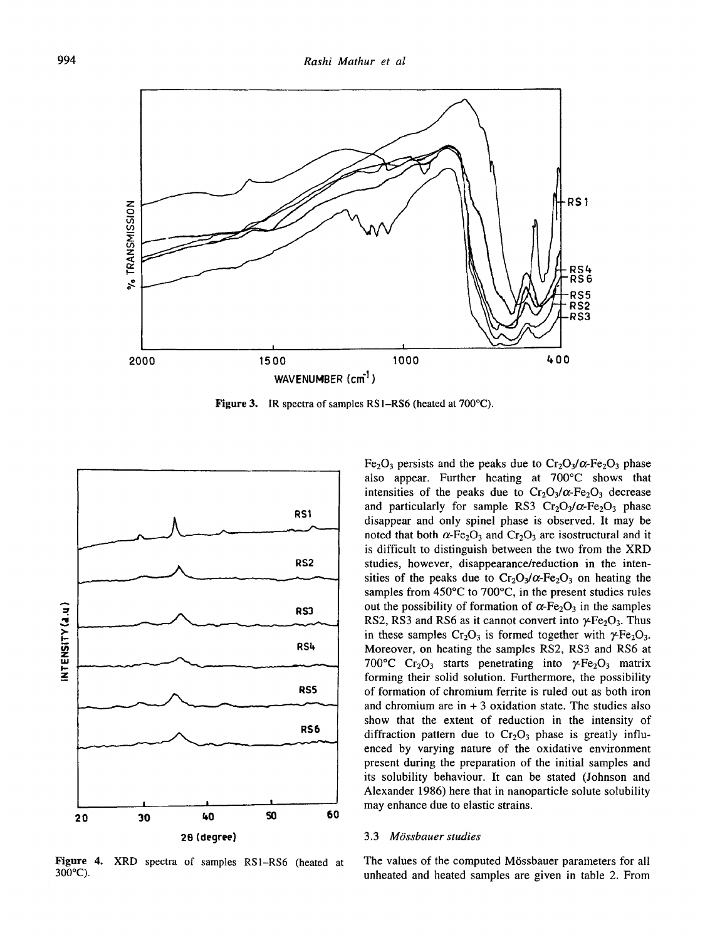

Figure 3. IR spectra of samples RS1-RS6 (heated at 700°C).



Figure 4. XRD spectra of samples RS1-RS6 (heated at 300°C).

Fe<sub>2</sub>O<sub>3</sub> persists and the peaks due to  $Cr_2O_3/\alpha$ -Fe<sub>2</sub>O<sub>3</sub> phase also appear. Further heating at 700°C shows that intensities of the peaks due to  $Cr_2O_3/\alpha$ -Fe<sub>2</sub>O<sub>3</sub> decrease and particularly for sample RS3  $Cr_2O_3/\alpha$ -Fe<sub>2</sub>O<sub>3</sub> phase disappear and only spinel phase is observed. It may be noted that both  $\alpha$ -Fe<sub>2</sub>O<sub>3</sub> and Cr<sub>2</sub>O<sub>3</sub> are isostructural and it is difficult to distinguish between the two from the XRD studies, however, disappearance/reduction in the intensities of the peaks due to  $Cr_2O_3/\alpha$ -Fe<sub>2</sub>O<sub>3</sub> on heating the samples from 450°C to 700°C, in the present studies rules out the possibility of formation of  $\alpha$ -Fe<sub>2</sub>O<sub>3</sub> in the samples RS2, RS3 and RS6 as it cannot convert into  $\gamma$ -Fe<sub>2</sub>O<sub>3</sub>. Thus in these samples  $Cr_2O_3$  is formed together with  $\gamma Fe_2O_3$ . Moreover, on heating the samples RS2, RS3 and RS6 at 700°C Cr<sub>2</sub>O<sub>3</sub> starts penetrating into  $\gamma$ -Fe<sub>2</sub>O<sub>3</sub> matrix forming their solid solution. Furthermore, the possibility of formation of chromium ferrite is ruled out as both iron and chromium are in  $+3$  oxidation state. The studies also show that the extent of reduction in the intensity of diffraction pattern due to  $Cr_2O_3$  phase is greatly influenced by varying nature of the oxidative environment present during the preparation of the initial samples and its solubility behaviour. It can be stated (Johnson and Alexander 1986) here that in nanoparticle solute solubility may enhance due to elastic strains.

### *3.3 MOssbauer studies*

The values of the computed M6ssbauer parameters for all unheated and heated samples are given in table 2. From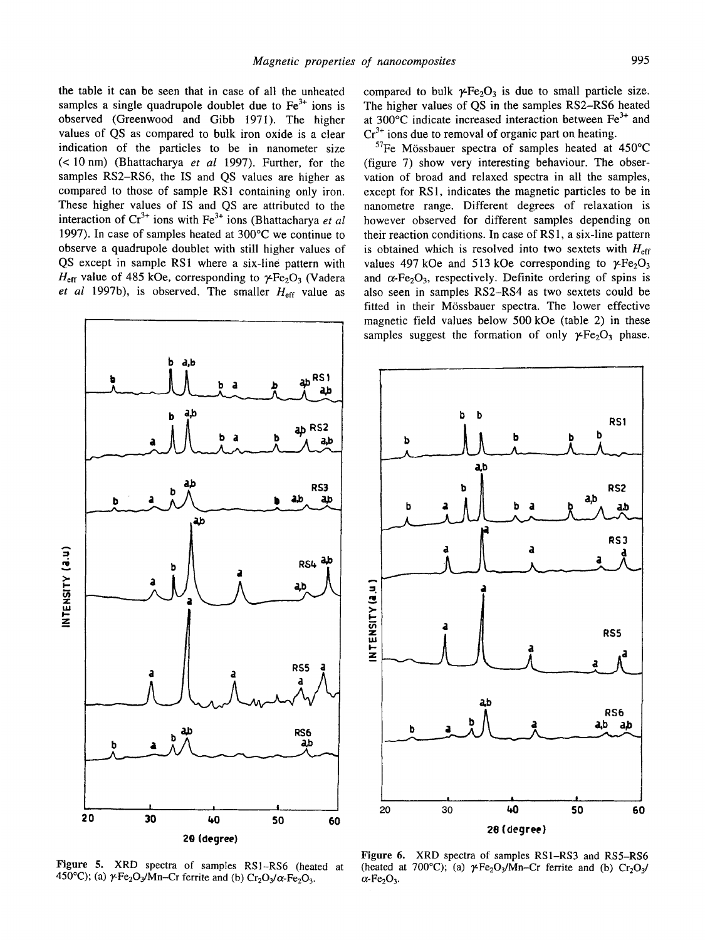the table it can be seen that in case of all the unheated samples a single quadrupole doublet due to  $Fe<sup>3+</sup>$  ions is observed (Greenwood and Gibb 1971). The higher values of QS as compared to bulk iron oxide is a clear indication of the particles to be in nanometer size (< 10 nm) (Bhattacharya *et al* 1997). Further, for the samples RS2-RS6, the IS and QS values are higher as compared to those of sample RS1 containing only iron. These higher values of IS and QS are attributed to the interaction of Cr<sup>3+</sup> ions with Fe<sup>3+</sup> ions (Bhattacharya *et al* 1997). In case of samples heated at 300°C we continue to observe a quadrupole doublet with still higher values of QS except in sample RS1 where a six-line pattern with  $H_{\text{eff}}$  value of 485 kOe, corresponding to  $\gamma$ Fe<sub>2</sub>O<sub>3</sub> (Vadera *et al 1997b*), is observed. The smaller  $H_{\text{eff}}$  value as



Figure 5. XRD spectra of samples RSI-RS6 (heated at 450°C); (a)  $\gamma$ -Fe<sub>2</sub>O<sub>3</sub>/Mn--Cr ferrite and (b) Cr<sub>2</sub>O<sub>3</sub>/ $\alpha$ -Fe<sub>2</sub>O<sub>3</sub>.

compared to bulk  $\gamma$ -Fe<sub>2</sub>O<sub>3</sub> is due to small particle size. The higher values of QS in the samples RS2-RS6 heated at 300 $^{\circ}$ C indicate increased interaction between Fe<sup>3+</sup> and  $Cr<sup>3+</sup>$  ions due to removal of organic part on heating.

 $57$ Fe Mössbauer spectra of samples heated at 450 $^{\circ}$ C (figure 7) show very interesting behaviour. The observation of broad and relaxed spectra in all the samples, except for RS1, indicates the magnetic particles to be in nanometre range. Different degrees of relaxation is however observed for different samples depending on their reaction conditions. In case of RS1, a six-line pattern is obtained which is resolved into two sextets with  $H_{\text{eff}}$ values 497 kOe and 513 kOe corresponding to  $\gamma$ -Fe<sub>2</sub>O<sub>3</sub> and  $\alpha$ -Fe<sub>2</sub>O<sub>3</sub>, respectively. Definite ordering of spins is also seen in samples RS2-RS4 as two sextets could be fitted in their Mössbauer spectra. The lower effective magnetic field values below 500 kOe (table 2) in these samples suggest the formation of only  $\gamma$ -Fe<sub>2</sub>O<sub>3</sub> phase.



Figure 6. XRD spectra of samples RS1-RS3 and RS5-RS6 (heated at 700°C); (a)  $\gamma$ Fe<sub>2</sub>O<sub>3</sub>/Mn–Cr ferrite and (b) Cr<sub>2</sub>O<sub>3</sub>/  $\alpha$ -Fe<sub>2</sub>O<sub>3</sub>.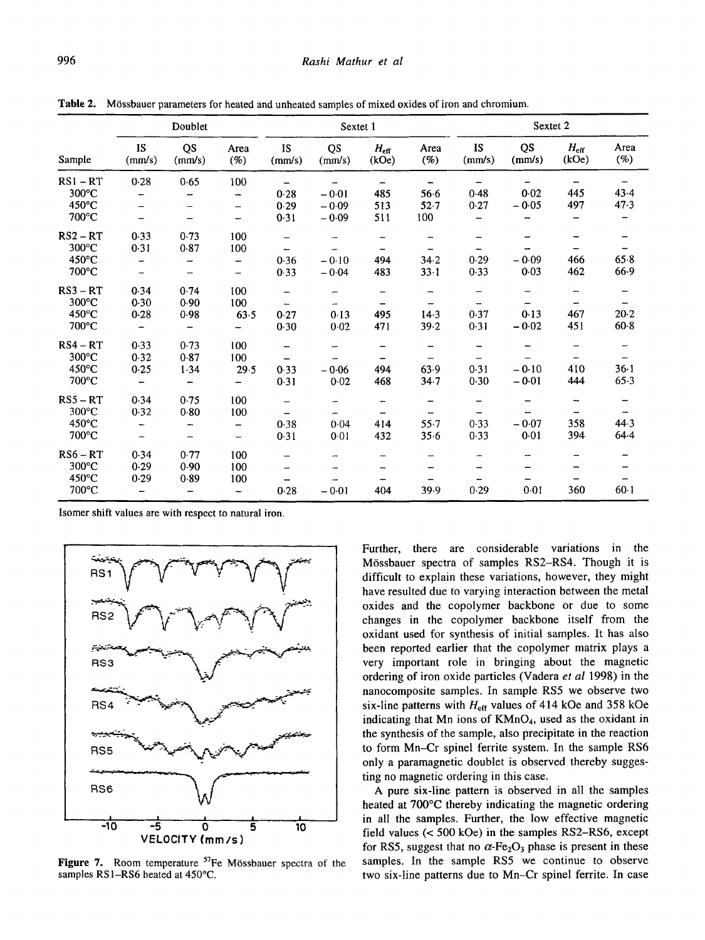| Sample          | Doublet                  |                          |                          | Sextet 1                 |                          |                          | Sextet 2                 |                          |                          |                        |             |
|-----------------|--------------------------|--------------------------|--------------------------|--------------------------|--------------------------|--------------------------|--------------------------|--------------------------|--------------------------|------------------------|-------------|
|                 | <b>IS</b><br>(mm/s)      | QS<br>(mm/s)             | Area<br>$(\%)$           | <b>IS</b><br>(mm/s)      | QS<br>(mm/s)             | $H_{\rm eff}$<br>(kOe)   | Area<br>$(\%)$           | <b>IS</b><br>(mm/s)      | QS<br>(mm/s)             | $H_{\rm eff}$<br>(kOe) | Area<br>(%) |
| $RSI - RT$      | 0.28                     | 0.65                     | 100                      |                          |                          | $\overline{\phantom{0}}$ |                          |                          |                          |                        |             |
| $300^{\circ}$ C |                          |                          | -                        | 0.28                     | $-0.01$                  | 485                      | 56.6                     | 0.48                     | 0.02                     | 445                    | 43.4        |
| 450°C           |                          |                          | -                        | 0.29                     | $-0.09$                  | 513                      | 52.7                     | 0.27                     | $-0.05$                  | 497                    | 47.3        |
| 700°C           | -                        |                          | --                       | 0.31                     | $-0.09$                  | 511                      | 100                      | $\overline{\phantom{0}}$ |                          |                        |             |
| $RS2 - RT$      | 0.33                     | 0.73                     | 100                      | $\qquad \qquad$          | -                        |                          |                          |                          |                          |                        |             |
| $300^{\circ}$ C | 0.31                     | 0.87                     | 100                      | -                        | $\overline{\phantom{0}}$ | $\overline{\phantom{m}}$ | -                        |                          |                          |                        |             |
| $450^{\circ}$ C |                          |                          | —                        | 0.36                     | $-0.10$                  | 494                      | 34.2                     | 0.29                     | $-0.09$                  | 466                    | 65.8        |
| 700°C           | $\rightarrow$            |                          | $\overline{\phantom{0}}$ | 0.33                     | $-0.04$                  | 483                      | $33 - 1$                 | 0.33                     | 0.03                     | 462                    | 66.9        |
| $RS3 - RT$      | 0.34                     | 0.74                     | 100                      | $\overline{\phantom{0}}$ | 1                        | $\overline{\phantom{0}}$ | -                        | $\overline{\phantom{m}}$ | $\qquad \qquad$          |                        |             |
| 300°C           | 0.30                     | 0.90                     | 100                      |                          |                          |                          |                          |                          |                          |                        |             |
| $450^{\circ}$ C | 0.28                     | 0.98                     | 63.5                     | 0.27                     | 0.13                     | 495                      | 14.3                     | 0.37                     | 0.13                     | 467                    | $20 - 2$    |
| 700°C           | $\overline{\phantom{m}}$ |                          |                          | 0.30                     | 0.02                     | 471                      | 39.2                     | 0.31                     | $-0.02$                  | 451                    | $60-8$      |
| $RS4 - RT$      | 0.33                     | 0.73                     | 100                      |                          |                          |                          |                          | ÷,                       |                          |                        |             |
| $300^{\circ}$ C | 0.32                     | 0.87                     | 100                      |                          |                          |                          |                          |                          |                          |                        |             |
| $450^{\circ}$ C | 0.25                     | 1.34                     | 29.5                     | 0.33                     | $-0.06$                  | 494                      | 63.9                     | 0.31                     | $-0.10$                  | 410                    | $36 - 1$    |
| 700°C           | $\overline{\phantom{a}}$ | $\overline{\phantom{a}}$ |                          | 0.31                     | 0.02                     | 468                      | 34.7                     | 0.30                     | $-0.01$                  | 444                    | 65.3        |
| $RS5 - RT$      | 0.34                     | 0.75                     | 100                      | -                        | -                        | -                        |                          |                          |                          |                        |             |
| 300°C           | 0.32                     | 0.80                     | 100                      | $\overline{\phantom{0}}$ | ÷                        |                          | $\overline{\phantom{a}}$ |                          |                          |                        |             |
| $450^{\circ}$ C |                          | $\overline{\phantom{m}}$ | $\overline{\phantom{0}}$ | 0.38                     | 0.04                     | 414                      | $55 - 7$                 | 0.33                     | $-0.07$                  | 358                    | 44.3        |
| 700°C           |                          | $\qquad \qquad -$        | $\overline{\phantom{0}}$ | 0.31                     | 0.01                     | 432                      | 35.6                     | 0.33                     | 0.01                     | 394                    | 64.4        |
| $RS6 - RT$      | 0.34                     | 0.77                     | 100                      | $\overline{\phantom{0}}$ | -                        | -                        | $\overline{\phantom{a}}$ | -                        | $\overline{\phantom{a}}$ |                        |             |
| $300^{\circ}$ C | 0.29                     | 0.90                     | 100                      |                          |                          |                          |                          |                          |                          |                        |             |
| $450^{\circ}$ C | 0.29                     | 0.89                     | 100                      |                          |                          |                          |                          |                          |                          |                        |             |
| 700°C           |                          |                          | $\overline{\phantom{a}}$ | 0.28                     | $-0.01$                  | 404                      | 39.9                     | 0.29                     | 0.01                     | 360                    | $60-1$      |

Table 2. Mössbauer parameters for heated and unheated samples of mixed oxides of iron and chromium.

Isomer shift values are with respect to natural iron.



Figure 7. Room temperature  $57$ Fe Mössbauer spectra of the samples RS1-RS6 heated at 450°C.

Further, there are considerable variations in the M6ssbauer spectra of samples RS2-RS4. Though it is difficult to explain these variations, however, they might have resulted due to varying interaction between the metal oxides and the copolymer backbone or due to some changes in the copolymer backbone itself from the oxidant used for synthesis of initial samples. It has also been reported earlier that the copolymer matrix plays a very important role in bringing about the magnetic ordering of iron oxide particles (Vadera *et al* 1998) in the nanocomposite samples. In sample RS5 we observe two six-line patterns with  $H_{\text{eff}}$  values of 414 kOe and 358 kOe indicating that Mn ions of KMnO4, used as the oxidant in the synthesis of the sample, also precipitate in the reaction to form Mn-Cr spinel ferrite system. In the sample RS6 only a paramagnetic doublet is observed thereby suggesting no magnetic ordering in this case.

A pure six-line pattern is observed in all the samples heated at 700°C thereby indicating the magnetic ordering in all the samples. Further, the low effective magnetic field values (< 500 kOe) in the samples RS2-RS6, except for RS5, suggest that no  $\alpha$ -Fe<sub>2</sub>O<sub>3</sub> phase is present in these samples. In the sample RS5 we continue to observe two six-line patterns due to Mn-Cr spinel ferrite. In case